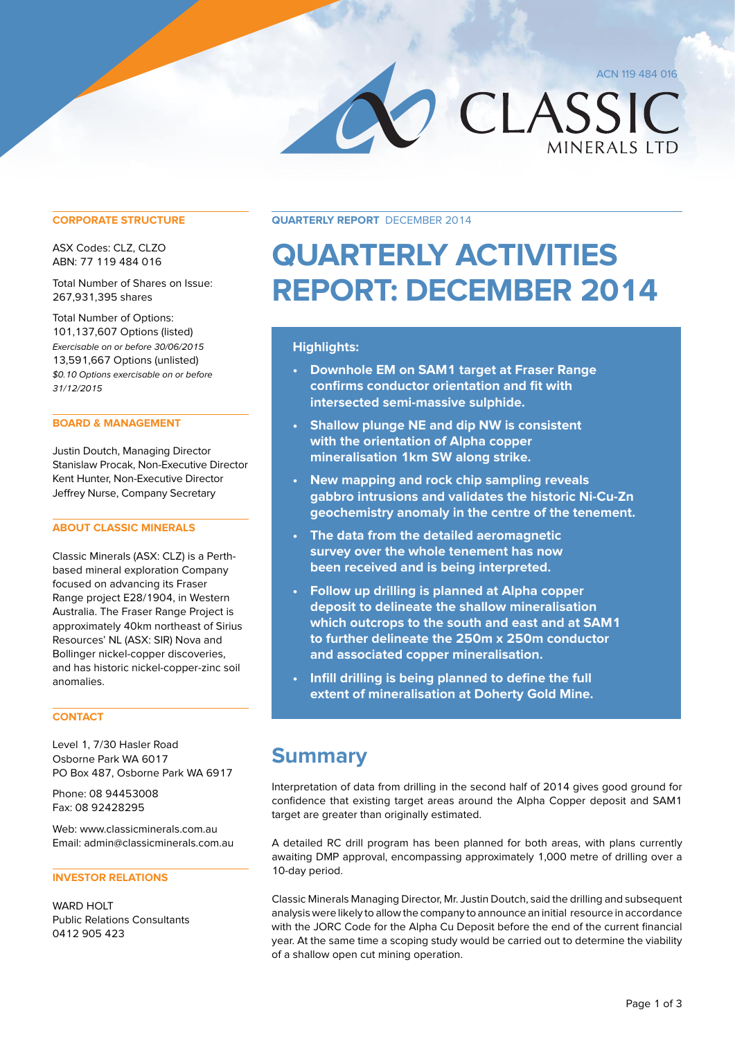ACN 119 484 016

CLASSIC **MINERALS LTD** 

#### **CORPORATE STRUCTURE**

ASX Codes: CLZ, CLZO ABN: 77 119 484 016

Total Number of Shares on Issue: 267,931,395 shares

Total Number of Options: 101,137,607 Options (listed) Exercisable on or before 30/06/2015 13,591,667 Options (unlisted) \$0.10 Options exercisable on or before 31/12/2015

## **BOARD & MANAGEMENT**

Justin Doutch, Managing Director Stanislaw Procak, Non-Executive Director Kent Hunter, Non-Executive Director Jeffrey Nurse, Company Secretary

# **ABOUT CLASSIC MINERALS**

Classic Minerals (ASX: CLZ) is a Perthbased mineral exploration Company focused on advancing its Fraser Range project E28/1904, in Western Australia. The Fraser Range Project is approximately 40km northeast of Sirius Resources' NL (ASX: SIR) Nova and Bollinger nickel-copper discoveries, and has historic nickel-copper-zinc soil anomalies.

# **CONTACT**

Level 1, 7/30 Hasler Road Osborne Park WA 6017 PO Box 487, Osborne Park WA 6917

Phone: 08 94453008 Fax: 08 92428295

Web: www.classicminerals.com.au Email: admin@classicminerals.com.au

# **INVESTOR RELATIONS**

WARD HOLT Public Relations Consultants 0412 905 423

**Quarterly Report** December 2014

# **Quarterly Activities Report: December 2014**

# **Highlights:**

- **• Downhole EM on SAM1 target at Fraser Range confirms conductor orientation and fit with intersected semi-massive sulphide.**
- **• Shallow plunge NE and dip NW is consistent with the orientation of Alpha copper mineralisation 1km SW along strike.**
- **• New mapping and rock chip sampling reveals gabbro intrusions and validates the historic Ni-Cu-Zn geochemistry anomaly in the centre of the tenement.**
- **• The data from the detailed aeromagnetic survey over the whole tenement has now been received and is being interpreted.**
- **• Follow up drilling is planned at Alpha copper deposit to delineate the shallow mineralisation which outcrops to the south and east and at SAM1 to further delineate the 250m x 250m conductor and associated copper mineralisation.**
- **• Infill drilling is being planned to define the full extent of mineralisation at Doherty Gold Mine.**

# **Summary**

Interpretation of data from drilling in the second half of 2014 gives good ground for confidence that existing target areas around the Alpha Copper deposit and SAM1 target are greater than originally estimated.

A detailed RC drill program has been planned for both areas, with plans currently awaiting DMP approval, encompassing approximately 1,000 metre of drilling over a 10-day period.

Classic Minerals Managing Director, Mr. Justin Doutch, said the drilling and subsequent analysis were likely to allow the company to announce an initial resource in accordance with the JORC Code for the Alpha Cu Deposit before the end of the current financial year. At the same time a scoping study would be carried out to determine the viability of a shallow open cut mining operation.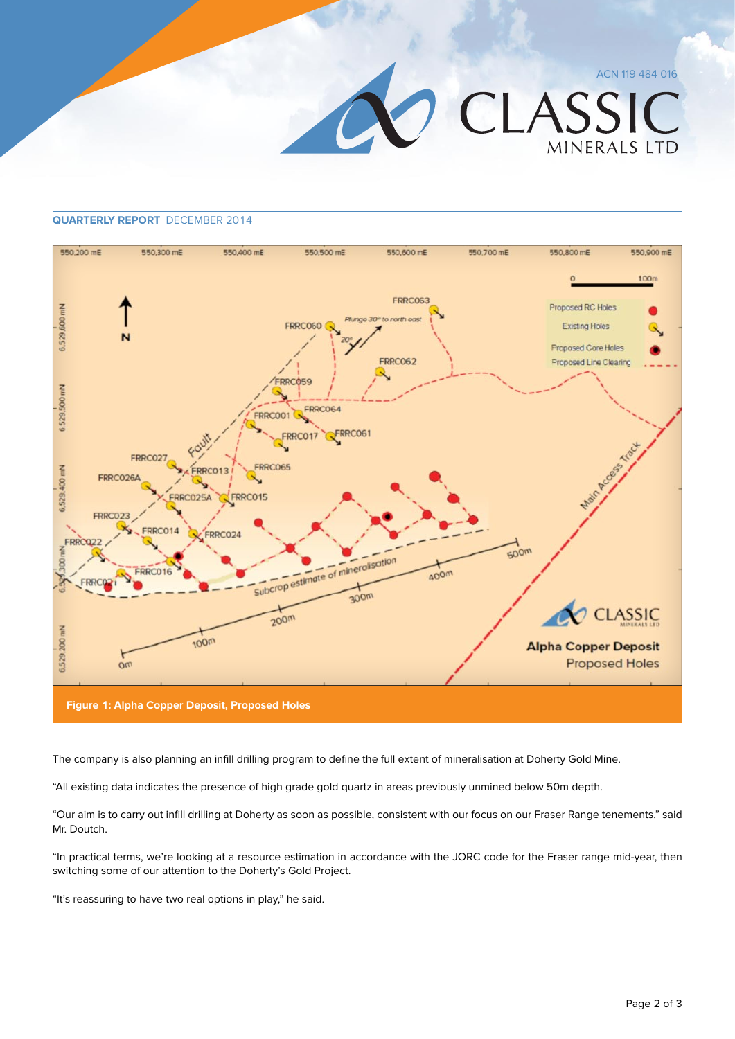ACN 119 484 016



## **Quarterly Report** December 2014



The company is also planning an infill drilling program to define the full extent of mineralisation at Doherty Gold Mine.

"All existing data indicates the presence of high grade gold quartz in areas previously unmined below 50m depth.

"Our aim is to carry out infill drilling at Doherty as soon as possible, consistent with our focus on our Fraser Range tenements," said Mr. Doutch.

"In practical terms, we're looking at a resource estimation in accordance with the JORC code for the Fraser range mid-year, then switching some of our attention to the Doherty's Gold Project.

"It's reassuring to have two real options in play," he said.